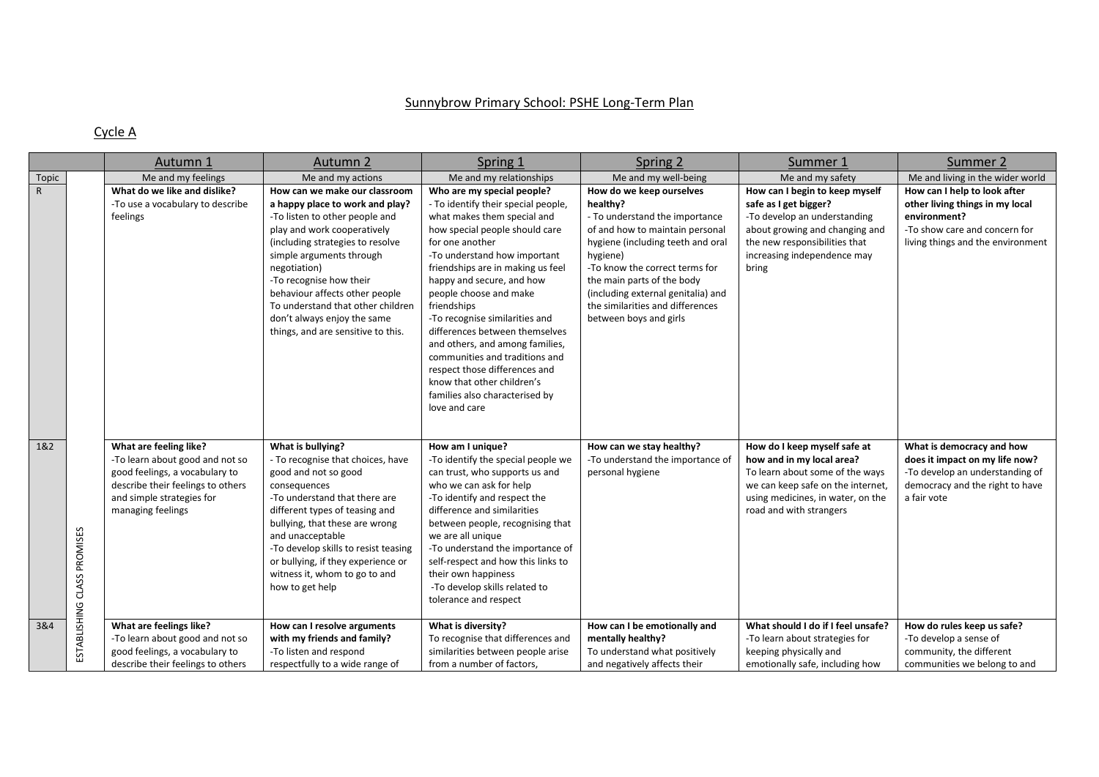## Sunnybrow Primary School: PSHE Long-Term Plan

## Cycle A

|              |                             | Autumn 1                                                                                                                                                                                                      | Autumn 2                                                                                                                                                                                                                                                                                                                                                                                 | Spring 1                                                                                                                                                                                                                                                                                                                                                                                                                                                                                                                                                    | Spring 2                                                                                                                                                                                                                                                                                                                       | Summer 1                                                                                                                                                                                                                                | Summer 2                                                                                                                                                                       |
|--------------|-----------------------------|---------------------------------------------------------------------------------------------------------------------------------------------------------------------------------------------------------------|------------------------------------------------------------------------------------------------------------------------------------------------------------------------------------------------------------------------------------------------------------------------------------------------------------------------------------------------------------------------------------------|-------------------------------------------------------------------------------------------------------------------------------------------------------------------------------------------------------------------------------------------------------------------------------------------------------------------------------------------------------------------------------------------------------------------------------------------------------------------------------------------------------------------------------------------------------------|--------------------------------------------------------------------------------------------------------------------------------------------------------------------------------------------------------------------------------------------------------------------------------------------------------------------------------|-----------------------------------------------------------------------------------------------------------------------------------------------------------------------------------------------------------------------------------------|--------------------------------------------------------------------------------------------------------------------------------------------------------------------------------|
| Topic        |                             | Me and my feelings                                                                                                                                                                                            | Me and my actions                                                                                                                                                                                                                                                                                                                                                                        | Me and my relationships                                                                                                                                                                                                                                                                                                                                                                                                                                                                                                                                     | Me and my well-being                                                                                                                                                                                                                                                                                                           | Me and my safety                                                                                                                                                                                                                        | Me and living in the wider world                                                                                                                                               |
| $\mathsf{R}$ |                             | What do we like and dislike?<br>-To use a vocabulary to describe<br>feelings                                                                                                                                  | How can we make our classroom<br>a happy place to work and play?<br>-To listen to other people and<br>play and work cooperatively<br>(including strategies to resolve<br>simple arguments through<br>negotiation)<br>-To recognise how their<br>behaviour affects other people<br>To understand that other children<br>don't always enjoy the same<br>things, and are sensitive to this. | Who are my special people?<br>- To identify their special people,<br>what makes them special and<br>how special people should care<br>for one another<br>-To understand how important<br>friendships are in making us feel<br>happy and secure, and how<br>people choose and make<br>friendships<br>-To recognise similarities and<br>differences between themselves<br>and others, and among families,<br>communities and traditions and<br>respect those differences and<br>know that other children's<br>families also characterised by<br>love and care | How do we keep ourselves<br>healthy?<br>- To understand the importance<br>of and how to maintain personal<br>hygiene (including teeth and oral<br>hygiene)<br>-To know the correct terms for<br>the main parts of the body<br>(including external genitalia) and<br>the similarities and differences<br>between boys and girls | How can I begin to keep myself<br>safe as I get bigger?<br>-To develop an understanding<br>about growing and changing and<br>the new responsibilities that<br>increasing independence may<br>bring                                      | How can I help to look after<br>other living things in my local<br>environment?<br>-To show care and concern for<br>living things and the environment                          |
| 1&2<br>3&4   | ESTABLISHING CLASS PROMISES | What are feeling like?<br>-To learn about good and not so<br>good feelings, a vocabulary to<br>describe their feelings to others<br>and simple strategies for<br>managing feelings<br>What are feelings like? | What is bullying?<br>- To recognise that choices, have<br>good and not so good<br>consequences<br>-To understand that there are<br>different types of teasing and<br>bullying, that these are wrong<br>and unacceptable<br>-To develop skills to resist teasing<br>or bullying, if they experience or<br>witness it, whom to go to and<br>how to get help<br>How can I resolve arguments | How am I unique?<br>-To identify the special people we<br>can trust, who supports us and<br>who we can ask for help<br>-To identify and respect the<br>difference and similarities<br>between people, recognising that<br>we are all unique<br>-To understand the importance of<br>self-respect and how this links to<br>their own happiness<br>-To develop skills related to<br>tolerance and respect<br>What is diversity?                                                                                                                                | How can we stay healthy?<br>-To understand the importance of<br>personal hygiene<br>How can I be emotionally and                                                                                                                                                                                                               | How do I keep myself safe at<br>how and in my local area?<br>To learn about some of the ways<br>we can keep safe on the internet,<br>using medicines, in water, on the<br>road and with strangers<br>What should I do if I feel unsafe? | What is democracy and how<br>does it impact on my life now?<br>-To develop an understanding of<br>democracy and the right to have<br>a fair vote<br>How do rules keep us safe? |
|              |                             | -To learn about good and not so<br>good feelings, a vocabulary to<br>describe their feelings to others                                                                                                        | with my friends and family?<br>-To listen and respond<br>respectfully to a wide range of                                                                                                                                                                                                                                                                                                 | To recognise that differences and<br>similarities between people arise<br>from a number of factors,                                                                                                                                                                                                                                                                                                                                                                                                                                                         | mentally healthy?<br>To understand what positively<br>and negatively affects their                                                                                                                                                                                                                                             | -To learn about strategies for<br>keeping physically and<br>emotionally safe, including how                                                                                                                                             | -To develop a sense of<br>community, the different<br>communities we belong to and                                                                                             |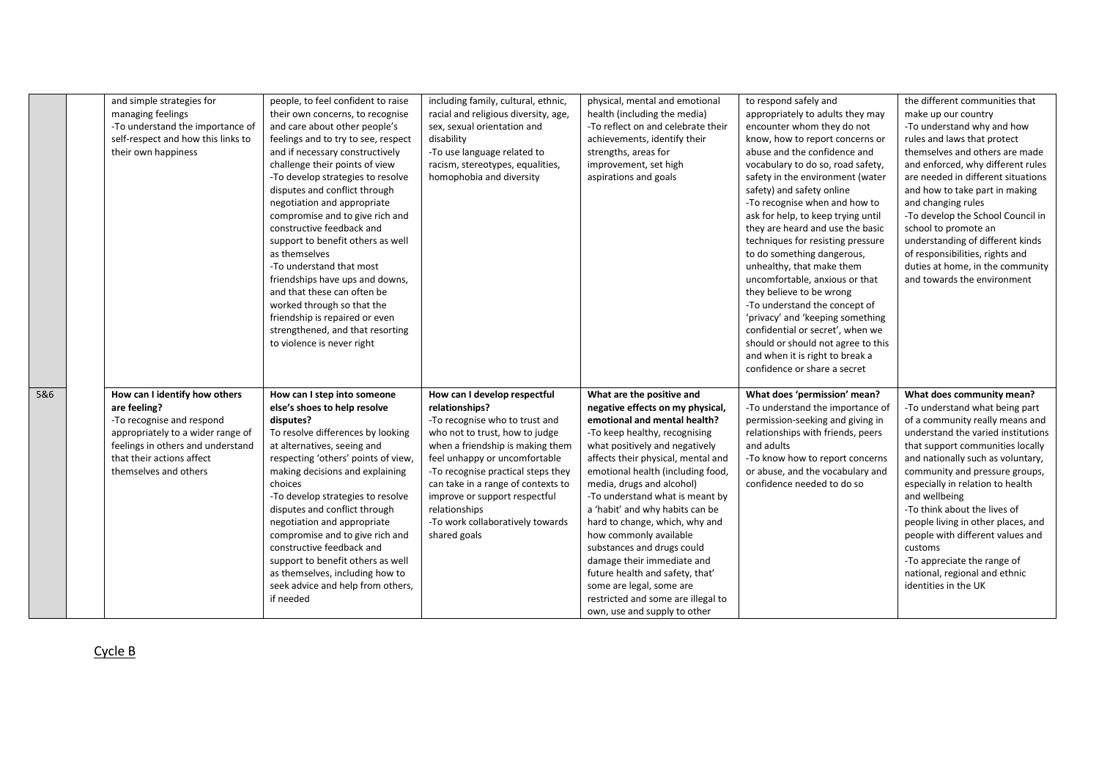|     | and simple strategies for<br>managing feelings<br>-To understand the importance of<br>self-respect and how this links to<br>their own happiness                                                            | people, to feel confident to raise<br>their own concerns, to recognise<br>and care about other people's<br>feelings and to try to see, respect<br>and if necessary constructively<br>challenge their points of view<br>-To develop strategies to resolve<br>disputes and conflict through<br>negotiation and appropriate<br>compromise and to give rich and<br>constructive feedback and<br>support to benefit others as well<br>as themselves<br>-To understand that most<br>friendships have ups and downs,<br>and that these can often be<br>worked through so that the<br>friendship is repaired or even<br>strengthened, and that resorting<br>to violence is never right | including family, cultural, ethnic,<br>racial and religious diversity, age,<br>sex, sexual orientation and<br>disability<br>-To use language related to<br>racism, stereotypes, equalities,<br>homophobia and diversity                                                                                                                                                   | physical, mental and emotional<br>health (including the media)<br>-To reflect on and celebrate their<br>achievements, identify their<br>strengths, areas for<br>improvement, set high<br>aspirations and goals                                                                                                                                                                                                                                                                                                                                                                                              | to respond safely and<br>appropriately to adults they may<br>encounter whom they do not<br>know, how to report concerns or<br>abuse and the confidence and<br>vocabulary to do so, road safety,<br>safety in the environment (water<br>safety) and safety online<br>-To recognise when and how to<br>ask for help, to keep trying until<br>they are heard and use the basic<br>techniques for resisting pressure<br>to do something dangerous,<br>unhealthy, that make them<br>uncomfortable, anxious or that<br>they believe to be wrong<br>-To understand the concept of<br>'privacy' and 'keeping something<br>confidential or secret', when we<br>should or should not agree to this<br>and when it is right to break a<br>confidence or share a secret | the different communities that<br>make up our country<br>-To understand why and how<br>rules and laws that protect<br>themselves and others are made<br>and enforced, why different rules<br>are needed in different situations<br>and how to take part in making<br>and changing rules<br>-To develop the School Council in<br>school to promote an<br>understanding of different kinds<br>of responsibilities, rights and<br>duties at home, in the community<br>and towards the environment                    |
|-----|------------------------------------------------------------------------------------------------------------------------------------------------------------------------------------------------------------|--------------------------------------------------------------------------------------------------------------------------------------------------------------------------------------------------------------------------------------------------------------------------------------------------------------------------------------------------------------------------------------------------------------------------------------------------------------------------------------------------------------------------------------------------------------------------------------------------------------------------------------------------------------------------------|---------------------------------------------------------------------------------------------------------------------------------------------------------------------------------------------------------------------------------------------------------------------------------------------------------------------------------------------------------------------------|-------------------------------------------------------------------------------------------------------------------------------------------------------------------------------------------------------------------------------------------------------------------------------------------------------------------------------------------------------------------------------------------------------------------------------------------------------------------------------------------------------------------------------------------------------------------------------------------------------------|-------------------------------------------------------------------------------------------------------------------------------------------------------------------------------------------------------------------------------------------------------------------------------------------------------------------------------------------------------------------------------------------------------------------------------------------------------------------------------------------------------------------------------------------------------------------------------------------------------------------------------------------------------------------------------------------------------------------------------------------------------------|-------------------------------------------------------------------------------------------------------------------------------------------------------------------------------------------------------------------------------------------------------------------------------------------------------------------------------------------------------------------------------------------------------------------------------------------------------------------------------------------------------------------|
| 5&6 | How can I identify how others<br>are feeling?<br>-To recognise and respond<br>appropriately to a wider range of<br>feelings in others and understand<br>that their actions affect<br>themselves and others | How can I step into someone<br>else's shoes to help resolve<br>disputes?<br>To resolve differences by looking<br>at alternatives, seeing and<br>respecting 'others' points of view,<br>making decisions and explaining<br>choices<br>-To develop strategies to resolve<br>disputes and conflict through<br>negotiation and appropriate<br>compromise and to give rich and<br>constructive feedback and<br>support to benefit others as well<br>as themselves, including how to<br>seek advice and help from others,<br>if needed                                                                                                                                               | How can I develop respectful<br>relationships?<br>-To recognise who to trust and<br>who not to trust, how to judge<br>when a friendship is making them<br>feel unhappy or uncomfortable<br>-To recognise practical steps they<br>can take in a range of contexts to<br>improve or support respectful<br>relationships<br>-To work collaboratively towards<br>shared goals | What are the positive and<br>negative effects on my physical,<br>emotional and mental health?<br>-To keep healthy, recognising<br>what positively and negatively<br>affects their physical, mental and<br>emotional health (including food,<br>media, drugs and alcohol)<br>-To understand what is meant by<br>a 'habit' and why habits can be<br>hard to change, which, why and<br>how commonly available<br>substances and drugs could<br>damage their immediate and<br>future health and safety, that'<br>some are legal, some are<br>restricted and some are illegal to<br>own, use and supply to other | What does 'permission' mean?<br>-To understand the importance of<br>permission-seeking and giving in<br>relationships with friends, peers<br>and adults<br>-To know how to report concerns<br>or abuse, and the vocabulary and<br>confidence needed to do so                                                                                                                                                                                                                                                                                                                                                                                                                                                                                                | What does community mean?<br>-To understand what being part<br>of a community really means and<br>understand the varied institutions<br>that support communities locally<br>and nationally such as voluntary,<br>community and pressure groups,<br>especially in relation to health<br>and wellbeing<br>-To think about the lives of<br>people living in other places, and<br>people with different values and<br>customs<br>-To appreciate the range of<br>national, regional and ethnic<br>identities in the UK |

Cycle B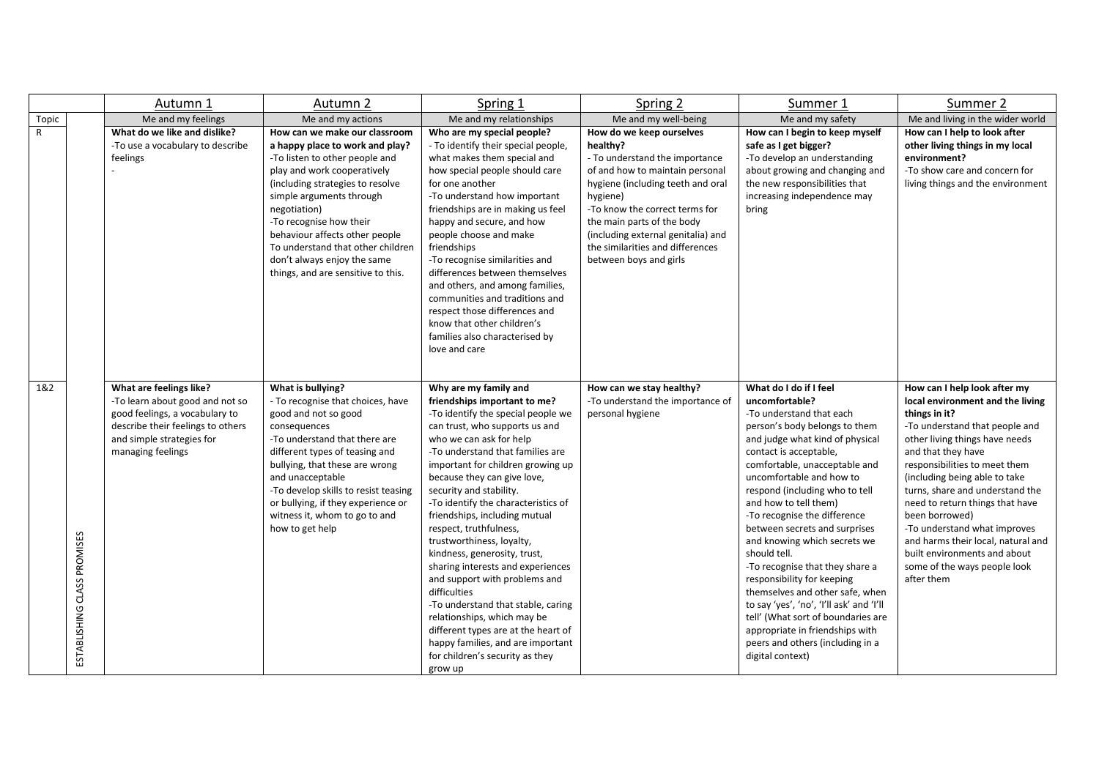|       |                             | Autumn 1                                                                                                                                                                            | Autumn 2                                                                                                                                                                                                                                                                                                                                                                                 | Spring 1                                                                                                                                                                                                                                                                                                                                                                                                                                                                                                                                                                                                                                                                                                                                        | Spring 2                                                                                                                                                                                                                                                                                                                       | Summer 1                                                                                                                                                                                                                                                                                                                                                                                                                                                                                                                                                                                                                                                                                     | Summer 2                                                                                                                                                                                                                                                                                                                                                                                                                                                                                   |
|-------|-----------------------------|-------------------------------------------------------------------------------------------------------------------------------------------------------------------------------------|------------------------------------------------------------------------------------------------------------------------------------------------------------------------------------------------------------------------------------------------------------------------------------------------------------------------------------------------------------------------------------------|-------------------------------------------------------------------------------------------------------------------------------------------------------------------------------------------------------------------------------------------------------------------------------------------------------------------------------------------------------------------------------------------------------------------------------------------------------------------------------------------------------------------------------------------------------------------------------------------------------------------------------------------------------------------------------------------------------------------------------------------------|--------------------------------------------------------------------------------------------------------------------------------------------------------------------------------------------------------------------------------------------------------------------------------------------------------------------------------|----------------------------------------------------------------------------------------------------------------------------------------------------------------------------------------------------------------------------------------------------------------------------------------------------------------------------------------------------------------------------------------------------------------------------------------------------------------------------------------------------------------------------------------------------------------------------------------------------------------------------------------------------------------------------------------------|--------------------------------------------------------------------------------------------------------------------------------------------------------------------------------------------------------------------------------------------------------------------------------------------------------------------------------------------------------------------------------------------------------------------------------------------------------------------------------------------|
| Topic |                             | Me and my feelings                                                                                                                                                                  | Me and my actions                                                                                                                                                                                                                                                                                                                                                                        | Me and my relationships                                                                                                                                                                                                                                                                                                                                                                                                                                                                                                                                                                                                                                                                                                                         | Me and my well-being                                                                                                                                                                                                                                                                                                           | Me and my safety                                                                                                                                                                                                                                                                                                                                                                                                                                                                                                                                                                                                                                                                             | Me and living in the wider world                                                                                                                                                                                                                                                                                                                                                                                                                                                           |
| R     |                             | What do we like and dislike?<br>-To use a vocabulary to describe<br>feelings                                                                                                        | How can we make our classroom<br>a happy place to work and play?<br>-To listen to other people and<br>play and work cooperatively<br>(including strategies to resolve<br>simple arguments through<br>negotiation)<br>-To recognise how their<br>behaviour affects other people<br>To understand that other children<br>don't always enjoy the same<br>things, and are sensitive to this. | Who are my special people?<br>- To identify their special people,<br>what makes them special and<br>how special people should care<br>for one another<br>-To understand how important<br>friendships are in making us feel<br>happy and secure, and how<br>people choose and make<br>friendships<br>-To recognise similarities and<br>differences between themselves<br>and others, and among families,<br>communities and traditions and<br>respect those differences and<br>know that other children's<br>families also characterised by<br>love and care                                                                                                                                                                                     | How do we keep ourselves<br>healthy?<br>- To understand the importance<br>of and how to maintain personal<br>hygiene (including teeth and oral<br>hygiene)<br>-To know the correct terms for<br>the main parts of the body<br>(including external genitalia) and<br>the similarities and differences<br>between boys and girls | How can I begin to keep myself<br>safe as I get bigger?<br>-To develop an understanding<br>about growing and changing and<br>the new responsibilities that<br>increasing independence may<br>bring                                                                                                                                                                                                                                                                                                                                                                                                                                                                                           | How can I help to look after<br>other living things in my local<br>environment?<br>-To show care and concern for<br>living things and the environment                                                                                                                                                                                                                                                                                                                                      |
| 1&2   | ESTABLISHING CLASS PROMISES | What are feelings like?<br>-To learn about good and not so<br>good feelings, a vocabulary to<br>describe their feelings to others<br>and simple strategies for<br>managing feelings | What is bullying?<br>- To recognise that choices, have<br>good and not so good<br>consequences<br>-To understand that there are<br>different types of teasing and<br>bullying, that these are wrong<br>and unacceptable<br>-To develop skills to resist teasing<br>or bullying, if they experience or<br>witness it, whom to go to and<br>how to get help                                | Why are my family and<br>friendships important to me?<br>-To identify the special people we<br>can trust, who supports us and<br>who we can ask for help<br>-To understand that families are<br>important for children growing up<br>because they can give love,<br>security and stability.<br>-To identify the characteristics of<br>friendships, including mutual<br>respect, truthfulness,<br>trustworthiness, loyalty,<br>kindness, generosity, trust,<br>sharing interests and experiences<br>and support with problems and<br>difficulties<br>-To understand that stable, caring<br>relationships, which may be<br>different types are at the heart of<br>happy families, and are important<br>for children's security as they<br>grow up | How can we stay healthy?<br>-To understand the importance of<br>personal hygiene                                                                                                                                                                                                                                               | What do I do if I feel<br>uncomfortable?<br>-To understand that each<br>person's body belongs to them<br>and judge what kind of physical<br>contact is acceptable,<br>comfortable, unacceptable and<br>uncomfortable and how to<br>respond (including who to tell<br>and how to tell them)<br>-To recognise the difference<br>between secrets and surprises<br>and knowing which secrets we<br>should tell.<br>-To recognise that they share a<br>responsibility for keeping<br>themselves and other safe, when<br>to say 'yes', 'no', 'I'll ask' and 'I'll<br>tell' (What sort of boundaries are<br>appropriate in friendships with<br>peers and others (including in a<br>digital context) | How can I help look after my<br>local environment and the living<br>things in it?<br>-To understand that people and<br>other living things have needs<br>and that they have<br>responsibilities to meet them<br>(including being able to take)<br>turns, share and understand the<br>need to return things that have<br>been borrowed)<br>-To understand what improves<br>and harms their local, natural and<br>built environments and about<br>some of the ways people look<br>after them |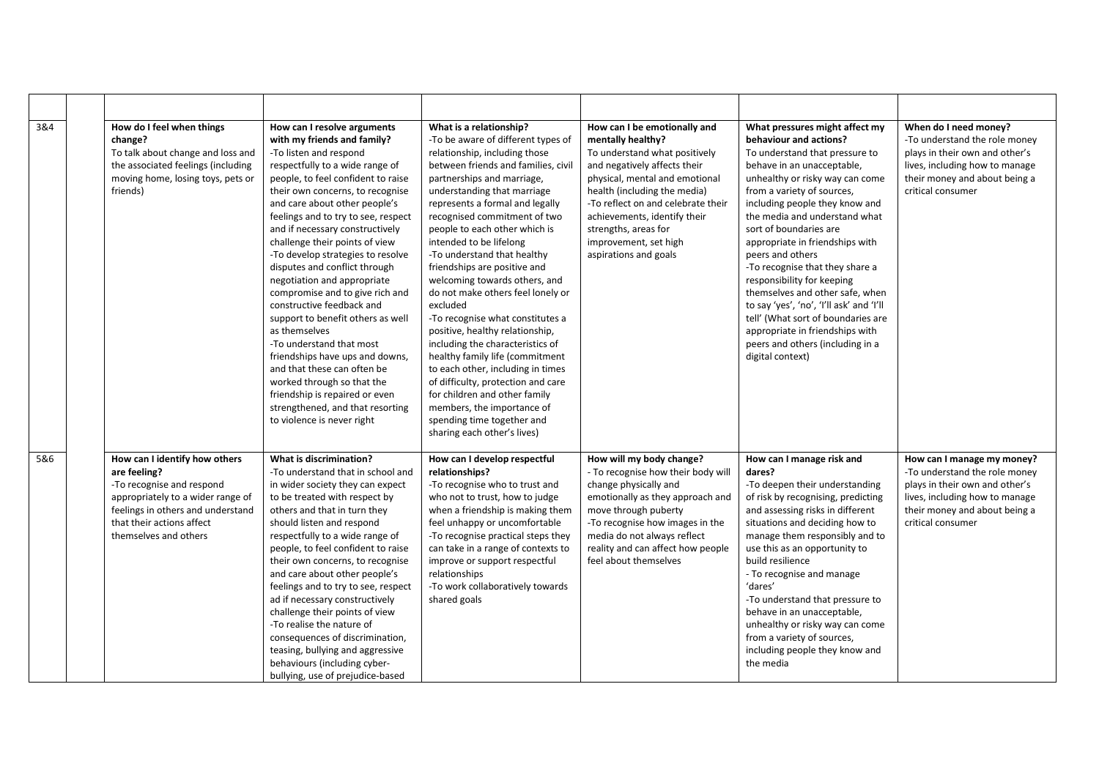| 3&4 | How do I feel when things<br>change?<br>To talk about change and loss and<br>the associated feelings (including<br>moving home, losing toys, pets or<br>friends)                                           | How can I resolve arguments<br>with my friends and family?<br>-To listen and respond<br>respectfully to a wide range of<br>people, to feel confident to raise<br>their own concerns, to recognise<br>and care about other people's<br>feelings and to try to see, respect<br>and if necessary constructively<br>challenge their points of view<br>-To develop strategies to resolve<br>disputes and conflict through<br>negotiation and appropriate<br>compromise and to give rich and<br>constructive feedback and<br>support to benefit others as well<br>as themselves<br>-To understand that most<br>friendships have ups and downs,<br>and that these can often be<br>worked through so that the<br>friendship is repaired or even<br>strengthened, and that resorting<br>to violence is never right | What is a relationship?<br>-To be aware of different types of<br>relationship, including those<br>between friends and families, civil<br>partnerships and marriage,<br>understanding that marriage<br>represents a formal and legally<br>recognised commitment of two<br>people to each other which is<br>intended to be lifelong<br>-To understand that healthy<br>friendships are positive and<br>welcoming towards others, and<br>do not make others feel lonely or<br>excluded<br>-To recognise what constitutes a<br>positive, healthy relationship,<br>including the characteristics of<br>healthy family life (commitment<br>to each other, including in times<br>of difficulty, protection and care<br>for children and other family<br>members, the importance of<br>spending time together and<br>sharing each other's lives) | How can I be emotionally and<br>mentally healthy?<br>To understand what positively<br>and negatively affects their<br>physical, mental and emotional<br>health (including the media)<br>-To reflect on and celebrate their<br>achievements, identify their<br>strengths, areas for<br>improvement, set high<br>aspirations and goals | What pressures might affect my<br>behaviour and actions?<br>To understand that pressure to<br>behave in an unacceptable,<br>unhealthy or risky way can come<br>from a variety of sources,<br>including people they know and<br>the media and understand what<br>sort of boundaries are<br>appropriate in friendships with<br>peers and others<br>-To recognise that they share a<br>responsibility for keeping<br>themselves and other safe, when<br>to say 'yes', 'no', 'I'll ask' and 'I'll<br>tell' (What sort of boundaries are<br>appropriate in friendships with<br>peers and others (including in a<br>digital context) | When do I need money?<br>-To understand the role money<br>plays in their own and other's<br>lives, including how to manage<br>their money and about being a<br>critical consumer      |
|-----|------------------------------------------------------------------------------------------------------------------------------------------------------------------------------------------------------------|-----------------------------------------------------------------------------------------------------------------------------------------------------------------------------------------------------------------------------------------------------------------------------------------------------------------------------------------------------------------------------------------------------------------------------------------------------------------------------------------------------------------------------------------------------------------------------------------------------------------------------------------------------------------------------------------------------------------------------------------------------------------------------------------------------------|-----------------------------------------------------------------------------------------------------------------------------------------------------------------------------------------------------------------------------------------------------------------------------------------------------------------------------------------------------------------------------------------------------------------------------------------------------------------------------------------------------------------------------------------------------------------------------------------------------------------------------------------------------------------------------------------------------------------------------------------------------------------------------------------------------------------------------------------|--------------------------------------------------------------------------------------------------------------------------------------------------------------------------------------------------------------------------------------------------------------------------------------------------------------------------------------|--------------------------------------------------------------------------------------------------------------------------------------------------------------------------------------------------------------------------------------------------------------------------------------------------------------------------------------------------------------------------------------------------------------------------------------------------------------------------------------------------------------------------------------------------------------------------------------------------------------------------------|---------------------------------------------------------------------------------------------------------------------------------------------------------------------------------------|
| 5&6 | How can I identify how others<br>are feeling?<br>-To recognise and respond<br>appropriately to a wider range of<br>feelings in others and understand<br>that their actions affect<br>themselves and others | What is discrimination?<br>-To understand that in school and<br>in wider society they can expect<br>to be treated with respect by<br>others and that in turn they<br>should listen and respond<br>respectfully to a wide range of<br>people, to feel confident to raise<br>their own concerns, to recognise<br>and care about other people's<br>feelings and to try to see, respect<br>ad if necessary constructively<br>challenge their points of view<br>-To realise the nature of<br>consequences of discrimination,<br>teasing, bullying and aggressive<br>behaviours (including cyber-<br>bullying, use of prejudice-based                                                                                                                                                                           | How can I develop respectful<br>relationships?<br>-To recognise who to trust and<br>who not to trust, how to judge<br>when a friendship is making them<br>feel unhappy or uncomfortable<br>-To recognise practical steps they<br>can take in a range of contexts to<br>improve or support respectful<br>relationships<br>-To work collaboratively towards<br>shared goals                                                                                                                                                                                                                                                                                                                                                                                                                                                               | How will my body change?<br>- To recognise how their body will<br>change physically and<br>emotionally as they approach and<br>move through puberty<br>-To recognise how images in the<br>media do not always reflect<br>reality and can affect how people<br>feel about themselves                                                  | How can I manage risk and<br>dares?<br>-To deepen their understanding<br>of risk by recognising, predicting<br>and assessing risks in different<br>situations and deciding how to<br>manage them responsibly and to<br>use this as an opportunity to<br>build resilience<br>- To recognise and manage<br>'dares'<br>-To understand that pressure to<br>behave in an unacceptable,<br>unhealthy or risky way can come<br>from a variety of sources,<br>including people they know and<br>the media                                                                                                                              | How can I manage my money?<br>-To understand the role money<br>plays in their own and other's<br>lives, including how to manage<br>their money and about being a<br>critical consumer |